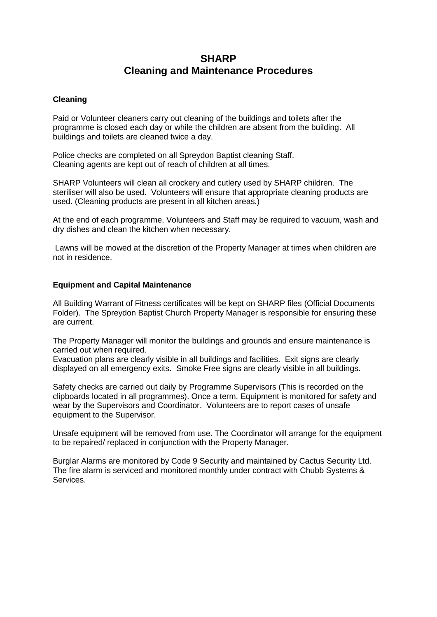## **SHARP Cleaning and Maintenance Procedures**

## **Cleaning**

Paid or Volunteer cleaners carry out cleaning of the buildings and toilets after the programme is closed each day or while the children are absent from the building. All buildings and toilets are cleaned twice a day.

Police checks are completed on all Spreydon Baptist cleaning Staff. Cleaning agents are kept out of reach of children at all times.

SHARP Volunteers will clean all crockery and cutlery used by SHARP children. The steriliser will also be used. Volunteers will ensure that appropriate cleaning products are used. (Cleaning products are present in all kitchen areas.)

At the end of each programme, Volunteers and Staff may be required to vacuum, wash and dry dishes and clean the kitchen when necessary.

Lawns will be mowed at the discretion of the Property Manager at times when children are not in residence.

## **Equipment and Capital Maintenance**

All Building Warrant of Fitness certificates will be kept on SHARP files (Official Documents Folder). The Spreydon Baptist Church Property Manager is responsible for ensuring these are current.

The Property Manager will monitor the buildings and grounds and ensure maintenance is carried out when required.

Evacuation plans are clearly visible in all buildings and facilities. Exit signs are clearly displayed on all emergency exits. Smoke Free signs are clearly visible in all buildings.

Safety checks are carried out daily by Programme Supervisors (This is recorded on the clipboards located in all programmes). Once a term, Equipment is monitored for safety and wear by the Supervisors and Coordinator. Volunteers are to report cases of unsafe equipment to the Supervisor.

Unsafe equipment will be removed from use. The Coordinator will arrange for the equipment to be repaired/ replaced in conjunction with the Property Manager.

Burglar Alarms are monitored by Code 9 Security and maintained by Cactus Security Ltd. The fire alarm is serviced and monitored monthly under contract with Chubb Systems & Services.